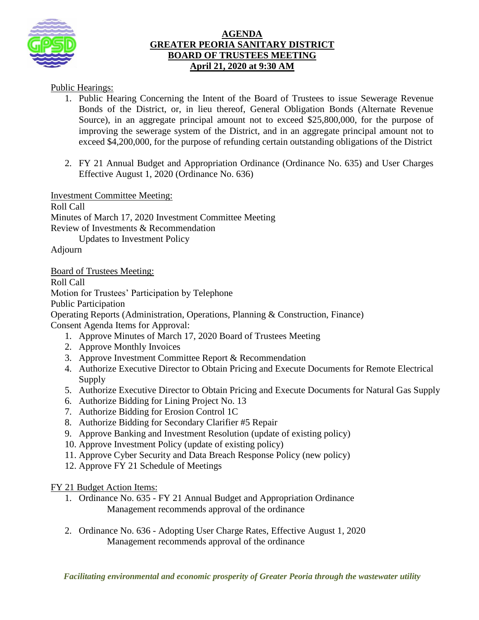

## **AGENDA GREATER PEORIA SANITARY DISTRICT BOARD OF TRUSTEES MEETING April 21, 2020 at 9:30 AM**

Public Hearings:

- 1. Public Hearing Concerning the Intent of the Board of Trustees to issue Sewerage Revenue Bonds of the District, or, in lieu thereof, General Obligation Bonds (Alternate Revenue Source), in an aggregate principal amount not to exceed \$25,800,000, for the purpose of improving the sewerage system of the District, and in an aggregate principal amount not to exceed \$4,200,000, for the purpose of refunding certain outstanding obligations of the District
- 2. FY 21 Annual Budget and Appropriation Ordinance (Ordinance No. 635) and User Charges Effective August 1, 2020 (Ordinance No. 636)

Investment Committee Meeting:

Roll Call

Minutes of March 17, 2020 Investment Committee Meeting Review of Investments & Recommendation

Updates to Investment Policy

Adjourn

Board of Trustees Meeting:

Roll Call

Motion for Trustees' Participation by Telephone

Public Participation

Operating Reports (Administration, Operations, Planning & Construction, Finance)

Consent Agenda Items for Approval:

- 1. Approve Minutes of March 17, 2020 Board of Trustees Meeting
- 2. Approve Monthly Invoices
- 3. Approve Investment Committee Report & Recommendation
- 4. Authorize Executive Director to Obtain Pricing and Execute Documents for Remote Electrical Supply
- 5. Authorize Executive Director to Obtain Pricing and Execute Documents for Natural Gas Supply
- 6. Authorize Bidding for Lining Project No. 13
- 7. Authorize Bidding for Erosion Control 1C
- 8. Authorize Bidding for Secondary Clarifier #5 Repair
- 9. Approve Banking and Investment Resolution (update of existing policy)
- 10. Approve Investment Policy (update of existing policy)
- 11. Approve Cyber Security and Data Breach Response Policy (new policy)
- 12. Approve FY 21 Schedule of Meetings

FY 21 Budget Action Items:

- 1. Ordinance No. 635 FY 21 Annual Budget and Appropriation Ordinance Management recommends approval of the ordinance
- 2. Ordinance No. 636 Adopting User Charge Rates, Effective August 1, 2020 Management recommends approval of the ordinance